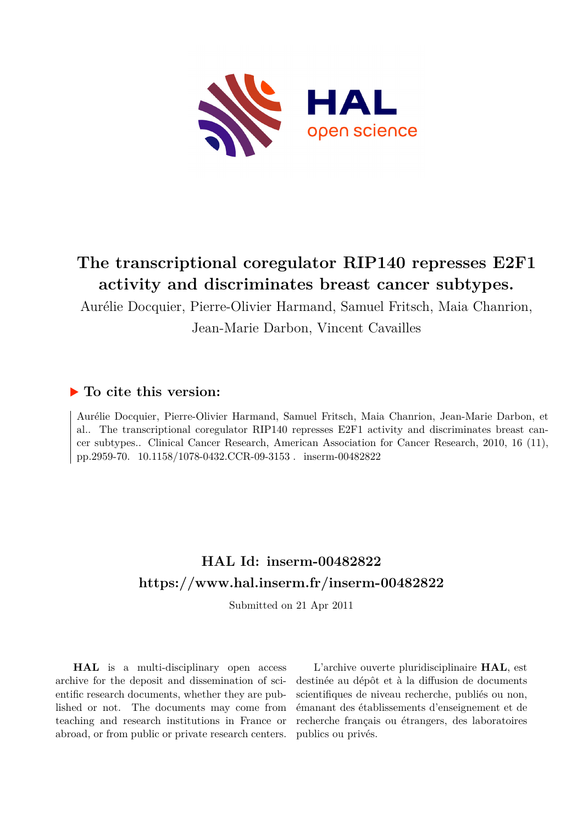

# **The transcriptional coregulator RIP140 represses E2F1 activity and discriminates breast cancer subtypes.**

Aurélie Docquier, Pierre-Olivier Harmand, Samuel Fritsch, Maia Chanrion, Jean-Marie Darbon, Vincent Cavailles

## **To cite this version:**

Aurélie Docquier, Pierre-Olivier Harmand, Samuel Fritsch, Maia Chanrion, Jean-Marie Darbon, et al.. The transcriptional coregulator RIP140 represses E2F1 activity and discriminates breast cancer subtypes.. Clinical Cancer Research, American Association for Cancer Research, 2010, 16 (11), pp.2959-70. 10.1158/1078-0432.CCR-09-3153. inserm-00482822

## **HAL Id: inserm-00482822 <https://www.hal.inserm.fr/inserm-00482822>**

Submitted on 21 Apr 2011

**HAL** is a multi-disciplinary open access archive for the deposit and dissemination of scientific research documents, whether they are published or not. The documents may come from teaching and research institutions in France or abroad, or from public or private research centers.

L'archive ouverte pluridisciplinaire **HAL**, est destinée au dépôt et à la diffusion de documents scientifiques de niveau recherche, publiés ou non, émanant des établissements d'enseignement et de recherche français ou étrangers, des laboratoires publics ou privés.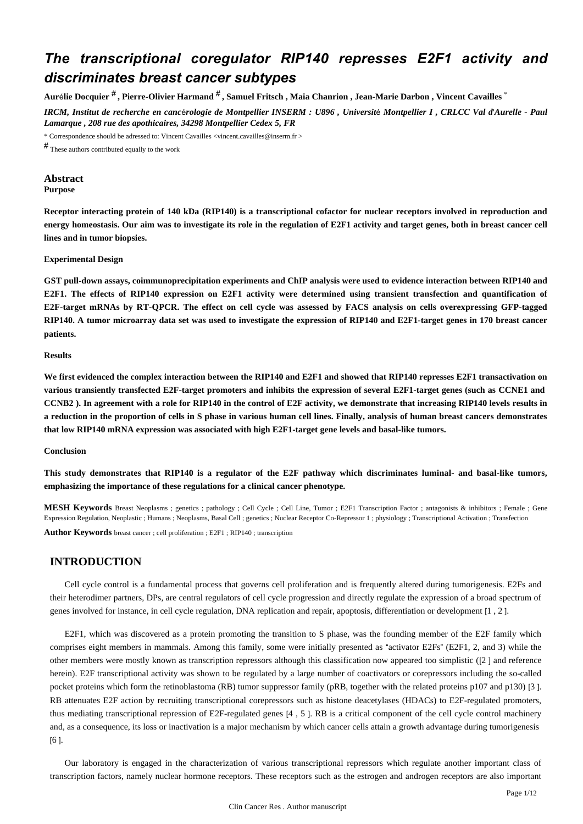## *The transcriptional coregulator RIP140 represses E2F1 activity and discriminates breast cancer subtypes*

**Aur**é**lie Docquier** # **, Pierre-Olivier Harmand** # **, Samuel Fritsch , Maia Chanrion , Jean-Marie Darbon , Vincent Cavailles** \*

*IRCM, Institut de recherche en canc*é*rologie de Montpellier INSERM : U896 , Universit*é *Montpellier I , CRLCC Val d*'*Aurelle - Paul Lamarque , 208 rue des apothicaires, 34298 Montpellier Cedex 5, FR*

\* Correspondence should be adressed to: Vincent Cavailles <vincent.cavailles@inserm.fr >

# These authors contributed equally to the work

## **Abstract**

### **Purpose**

**Receptor interacting protein of 140 kDa (RIP140) is a transcriptional cofactor for nuclear receptors involved in reproduction and energy homeostasis. Our aim was to investigate its role in the regulation of E2F1 activity and target genes, both in breast cancer cell lines and in tumor biopsies.**

### **Experimental Design**

**GST pull-down assays, coimmunoprecipitation experiments and ChIP analysis were used to evidence interaction between RIP140 and E2F1. The effects of RIP140 expression on E2F1 activity were determined using transient transfection and quantification of E2F-target mRNAs by RT-QPCR. The effect on cell cycle was assessed by FACS analysis on cells overexpressing GFP-tagged RIP140. A tumor microarray data set was used to investigate the expression of RIP140 and E2F1-target genes in 170 breast cancer patients.**

## **Results**

**We first evidenced the complex interaction between the RIP140 and E2F1 and showed that RIP140 represses E2F1 transactivation on various transiently transfected E2F-target promoters and inhibits the expression of several E2F1-target genes (such as CCNE1 and CCNB2 ). In agreement with a role for RIP140 in the control of E2F activity, we demonstrate that increasing RIP140 levels results in a reduction in the proportion of cells in S phase in various human cell lines. Finally, analysis of human breast cancers demonstrates that low RIP140 mRNA expression was associated with high E2F1-target gene levels and basal-like tumors.**

## **Conclusion**

**This study demonstrates that RIP140 is a regulator of the E2F pathway which discriminates luminal- and basal-like tumors, emphasizing the importance of these regulations for a clinical cancer phenotype.**

**MESH Keywords** Breast Neoplasms ; genetics ; pathology ; Cell Cycle ; Cell Line, Tumor ; E2F1 Transcription Factor ; antagonists & inhibitors ; Female ; Gene Expression Regulation, Neoplastic ; Humans ; Neoplasms, Basal Cell ; genetics ; Nuclear Receptor Co-Repressor 1 ; physiology ; Transcriptional Activation ; Transfection **Author Keywords** breast cancer ; cell proliferation ; E2F1 ; RIP140 ; transcription

## **INTRODUCTION**

Cell cycle control is a fundamental process that governs cell proliferation and is frequently altered during tumorigenesis. E2Fs and their heterodimer partners, DPs, are central regulators of cell cycle progression and directly regulate the expression of a broad spectrum of genes involved for instance, in cell cycle regulation, DNA replication and repair, apoptosis, differentiation or development [1 , 2 ].

E2F1, which was discovered as a protein promoting the transition to S phase, was the founding member of the E2F family which comprises eight members in mammals. Among this family, some were initially presented as "activator E2Fs" (E2F1, 2, and 3) while the other members were mostly known as transcription repressors although this classification now appeared too simplistic ([2 ] and reference herein). E2F transcriptional activity was shown to be regulated by a large number of coactivators or corepressors including the so-called pocket proteins which form the retinoblastoma (RB) tumor suppressor family (pRB, together with the related proteins p107 and p130) [3 ]. RB attenuates E2F action by recruiting transcriptional corepressors such as histone deacetylases (HDACs) to E2F-regulated promoters, thus mediating transcriptional repression of E2F-regulated genes [4 , 5 ]. RB is a critical component of the cell cycle control machinery and, as a consequence, its loss or inactivation is a major mechanism by which cancer cells attain a growth advantage during tumorigenesis [6 ].

Our laboratory is engaged in the characterization of various transcriptional repressors which regulate another important class of transcription factors, namely nuclear hormone receptors. These receptors such as the estrogen and androgen receptors are also important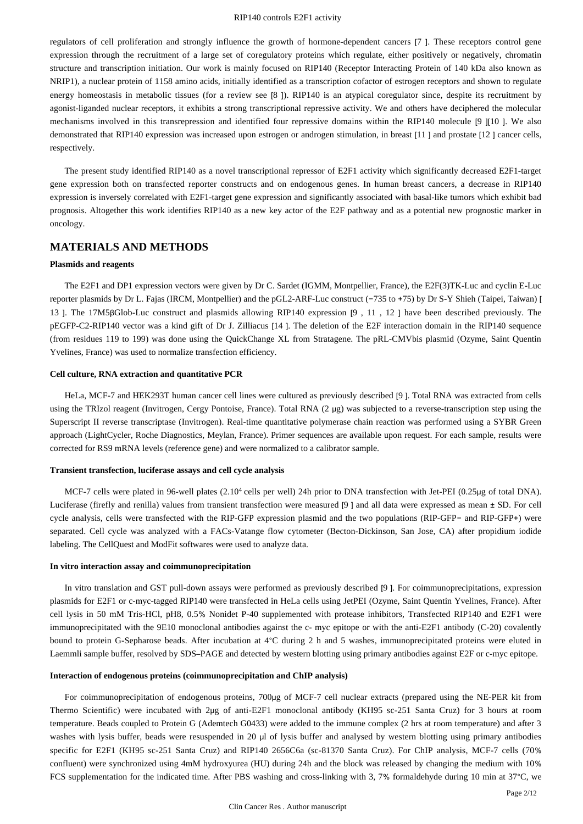regulators of cell proliferation and strongly influence the growth of hormone-dependent cancers [7 ]. These receptors control gene expression through the recruitment of a large set of coregulatory proteins which regulate, either positively or negatively, chromatin structure and transcription initiation. Our work is mainly focused on RIP140 (Receptor Interacting Protein of 140 kDa also known as NRIP1), a nuclear protein of 1158 amino acids, initially identified as a transcription cofactor of estrogen receptors and shown to regulate energy homeostasis in metabolic tissues (for a review see [8 ]). RIP140 is an atypical coregulator since, despite its recruitment by agonist-liganded nuclear receptors, it exhibits a strong transcriptional repressive activity. We and others have deciphered the molecular mechanisms involved in this transrepression and identified four repressive domains within the RIP140 molecule [9 ][10 ]. We also demonstrated that RIP140 expression was increased upon estrogen or androgen stimulation, in breast [11 ] and prostate [12 ] cancer cells, respectively.

The present study identified RIP140 as a novel transcriptional repressor of E2F1 activity which significantly decreased E2F1-target gene expression both on transfected reporter constructs and on endogenous genes. In human breast cancers, a decrease in RIP140 expression is inversely correlated with E2F1-target gene expression and significantly associated with basal-like tumors which exhibit bad prognosis. Altogether this work identifies RIP140 as a new key actor of the E2F pathway and as a potential new prognostic marker in oncology.

## **MATERIALS AND METHODS**

#### **Plasmids and reagents**

The E2F1 and DP1 expression vectors were given by Dr C. Sardet (IGMM, Montpellier, France), the E2F(3)TK-Luc and cyclin E-Luc reporter plasmids by Dr L. Fajas (IRCM, Montpellier) and the pGL2-ARF-Luc construct (−735 to +75) by Dr S-Y Shieh (Taipei, Taiwan) [ 13 ]. The 17M5βGlob-Luc construct and plasmids allowing RIP140 expression [9 , 11 , 12 ] have been described previously. The pEGFP-C2-RIP140 vector was a kind gift of Dr J. Zilliacus [14 ]. The deletion of the E2F interaction domain in the RIP140 sequence (from residues 119 to 199) was done using the QuickChange XL from Stratagene. The pRL-CMVbis plasmid (Ozyme, Saint Quentin Yvelines, France) was used to normalize transfection efficiency.

## **Cell culture, RNA extraction and quantitative PCR**

HeLa, MCF-7 and HEK293T human cancer cell lines were cultured as previously described [9 ]. Total RNA was extracted from cells using the TRIzol reagent (Invitrogen, Cergy Pontoise, France). Total RNA (2 μg) was subjected to a reverse-transcription step using the Superscript II reverse transcriptase (Invitrogen). Real-time quantitative polymerase chain reaction was performed using a SYBR Green approach (LightCycler, Roche Diagnostics, Meylan, France). Primer sequences are available upon request. For each sample, results were corrected for RS9 mRNA levels (reference gene) and were normalized to a calibrator sample.

## **Transient transfection, luciferase assays and cell cycle analysis**

MCF-7 cells were plated in 96-well plates  $(2.10^4 \text{ cells per well})$  24h prior to DNA transfection with Jet-PEI (0.25µg of total DNA). Luciferase (firefly and renilla) values from transient transfection were measured [9 ] and all data were expressed as mean ± SD. For cell cycle analysis, cells were transfected with the RIP-GFP expression plasmid and the two populations (RIP-GFP− and RIP-GFP+) were separated. Cell cycle was analyzed with a FACs-Vatange flow cytometer (Becton-Dickinson, San Jose, CA) after propidium iodide labeling. The CellQuest and ModFit softwares were used to analyze data.

## **In vitro interaction assay and coimmunoprecipitation**

In vitro translation and GST pull-down assays were performed as previously described [9 ]. For coimmunoprecipitations, expression plasmids for E2F1 or c-myc-tagged RIP140 were transfected in HeLa cells using JetPEI (Ozyme, Saint Quentin Yvelines, France). After cell lysis in 50 mM Tris-HCl, pH8, 0.5% Nonidet P-40 supplemented with protease inhibitors, Transfected RIP140 and E2F1 were immunoprecipitated with the 9E10 monoclonal antibodies against the c- myc epitope or with the anti-E2F1 antibody (C-20) covalently bound to protein G-Sepharose beads. After incubation at 4°C during 2 h and 5 washes, immunoprecipitated proteins were eluted in Laemmli sample buffer, resolved by SDS–PAGE and detected by western blotting using primary antibodies against E2F or c-myc epitope.

#### **Interaction of endogenous proteins (coimmunoprecipitation and ChIP analysis)**

For coimmunoprecipitation of endogenous proteins, 700μg of MCF-7 cell nuclear extracts (prepared using the NE-PER kit from Thermo Scientific) were incubated with 2μg of anti-E2F1 monoclonal antibody (KH95 sc-251 Santa Cruz) for 3 hours at room temperature. Beads coupled to Protein G (Ademtech G0433) were added to the immune complex (2 hrs at room temperature) and after 3 washes with lysis buffer, beads were resuspended in 20 μl of lysis buffer and analysed by western blotting using primary antibodies specific for E2F1 (KH95 sc-251 Santa Cruz) and RIP140 2656C6a (sc-81370 Santa Cruz). For ChIP analysis, MCF-7 cells (70% confluent) were synchronized using 4mM hydroxyurea (HU) during 24h and the block was released by changing the medium with 10% FCS supplementation for the indicated time. After PBS washing and cross-linking with 3, 7% formaldehyde during 10 min at 37°C, we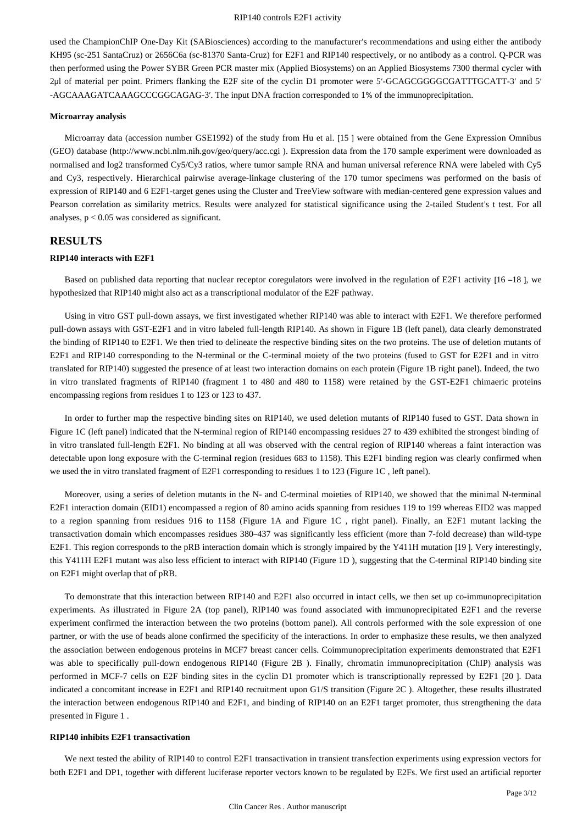used the ChampionChIP One-Day Kit (SABiosciences) according to the manufacturer's recommendations and using either the antibody KH95 (sc-251 SantaCruz) or 2656C6a (sc-81370 Santa-Cruz) for E2F1 and RIP140 respectively, or no antibody as a control. Q-PCR was then performed using the Power SYBR Green PCR master mix (Applied Biosystems) on an Applied Biosystems 7300 thermal cycler with 2ul of material per point. Primers flanking the E2F site of the cyclin D1 promoter were 5'-GCAGCGGGGGGCGATTTGCATT-3' and 5' -AGCAAAGATCAAAGCCCGGCAGAG-3′. The input DNA fraction corresponded to 1% of the immunoprecipitation.

#### **Microarray analysis**

Microarray data (accession number GSE1992) of the study from Hu et al. [15 ] were obtained from the Gene Expression Omnibus (GEO) database (http://www.ncbi.nlm.nih.gov/geo/query/acc.cgi ). Expression data from the 170 sample experiment were downloaded as normalised and log2 transformed Cy5/Cy3 ratios, where tumor sample RNA and human universal reference RNA were labeled with Cy5 and Cy3, respectively. Hierarchical pairwise average-linkage clustering of the 170 tumor specimens was performed on the basis of expression of RIP140 and 6 E2F1-target genes using the Cluster and TreeView software with median-centered gene expression values and Pearson correlation as similarity metrics. Results were analyzed for statistical significance using the 2-tailed Student's t test. For all analyses,  $p < 0.05$  was considered as significant.

## **RESULTS**

## **RIP140 interacts with E2F1**

Based on published data reporting that nuclear receptor coregulators were involved in the regulation of E2F1 activity [16 –18 ], we hypothesized that RIP140 might also act as a transcriptional modulator of the E2F pathway.

Using in vitro GST pull-down assays, we first investigated whether RIP140 was able to interact with E2F1. We therefore performed pull-down assays with GST-E2F1 and in vitro labeled full-length RIP140. As shown in Figure 1B (left panel), data clearly demonstrated the binding of RIP140 to E2F1. We then tried to delineate the respective binding sites on the two proteins. The use of deletion mutants of E2F1 and RIP140 corresponding to the N-terminal or the C-terminal moiety of the two proteins (fused to GST for E2F1 and in vitro translated for RIP140) suggested the presence of at least two interaction domains on each protein (Figure 1B right panel). Indeed, the two in vitro translated fragments of RIP140 (fragment 1 to 480 and 480 to 1158) were retained by the GST-E2F1 chimaeric proteins encompassing regions from residues 1 to 123 or 123 to 437.

In order to further map the respective binding sites on RIP140, we used deletion mutants of RIP140 fused to GST. Data shown in Figure 1C (left panel) indicated that the N-terminal region of RIP140 encompassing residues 27 to 439 exhibited the strongest binding of in vitro translated full-length E2F1. No binding at all was observed with the central region of RIP140 whereas a faint interaction was detectable upon long exposure with the C-terminal region (residues 683 to 1158). This E2F1 binding region was clearly confirmed when we used the in vitro translated fragment of E2F1 corresponding to residues 1 to 123 (Figure 1C , left panel).

Moreover, using a series of deletion mutants in the N- and C-terminal moieties of RIP140, we showed that the minimal N-terminal E2F1 interaction domain (EID1) encompassed a region of 80 amino acids spanning from residues 119 to 199 whereas EID2 was mapped to a region spanning from residues 916 to 1158 (Figure 1A and Figure 1C , right panel). Finally, an E2F1 mutant lacking the transactivation domain which encompasses residues 380–437 was significantly less efficient (more than 7-fold decrease) than wild-type E2F1. This region corresponds to the pRB interaction domain which is strongly impaired by the Y411H mutation [19 ]. Very interestingly, this Y411H E2F1 mutant was also less efficient to interact with RIP140 (Figure 1D ), suggesting that the C-terminal RIP140 binding site on E2F1 might overlap that of pRB.

To demonstrate that this interaction between RIP140 and E2F1 also occurred in intact cells, we then set up co-immunoprecipitation experiments. As illustrated in Figure 2A (top panel), RIP140 was found associated with immunoprecipitated E2F1 and the reverse experiment confirmed the interaction between the two proteins (bottom panel). All controls performed with the sole expression of one partner, or with the use of beads alone confirmed the specificity of the interactions. In order to emphasize these results, we then analyzed the association between endogenous proteins in MCF7 breast cancer cells. Coimmunoprecipitation experiments demonstrated that E2F1 was able to specifically pull-down endogenous RIP140 (Figure 2B). Finally, chromatin immunoprecipitation (ChIP) analysis was performed in MCF-7 cells on E2F binding sites in the cyclin D1 promoter which is transcriptionally repressed by E2F1 [20 ]. Data indicated a concomitant increase in E2F1 and RIP140 recruitment upon G1/S transition (Figure 2C ). Altogether, these results illustrated the interaction between endogenous RIP140 and E2F1, and binding of RIP140 on an E2F1 target promoter, thus strengthening the data presented in Figure 1 .

## **RIP140 inhibits E2F1 transactivation**

We next tested the ability of RIP140 to control E2F1 transactivation in transient transfection experiments using expression vectors for both E2F1 and DP1, together with different luciferase reporter vectors known to be regulated by E2Fs. We first used an artificial reporter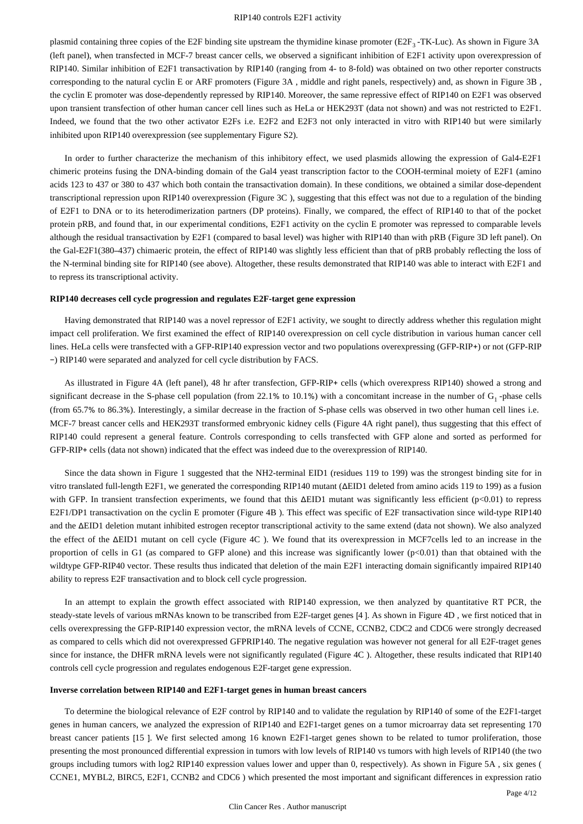plasmid containing three copies of the E2F binding site upstream the thymidine kinase promoter ( $E2F_3$ -TK-Luc). As shown in Figure 3A (left panel), when transfected in MCF-7 breast cancer cells, we observed a significant inhibition of E2F1 activity upon overexpression of RIP140. Similar inhibition of E2F1 transactivation by RIP140 (ranging from 4- to 8-fold) was obtained on two other reporter constructs corresponding to the natural cyclin E or ARF promoters (Figure 3A , middle and right panels, respectively) and, as shown in Figure 3B , the cyclin E promoter was dose-dependently repressed by RIP140. Moreover, the same repressive effect of RIP140 on E2F1 was observed upon transient transfection of other human cancer cell lines such as HeLa or HEK293T (data not shown) and was not restricted to E2F1. Indeed, we found that the two other activator E2Fs i.e. E2F2 and E2F3 not only interacted in vitro with RIP140 but were similarly inhibited upon RIP140 overexpression (see supplementary Figure S2).

In order to further characterize the mechanism of this inhibitory effect, we used plasmids allowing the expression of Gal4-E2F1 chimeric proteins fusing the DNA-binding domain of the Gal4 yeast transcription factor to the COOH-terminal moiety of E2F1 (amino acids 123 to 437 or 380 to 437 which both contain the transactivation domain). In these conditions, we obtained a similar dose-dependent transcriptional repression upon RIP140 overexpression (Figure 3C ), suggesting that this effect was not due to a regulation of the binding of E2F1 to DNA or to its heterodimerization partners (DP proteins). Finally, we compared, the effect of RIP140 to that of the pocket protein pRB, and found that, in our experimental conditions, E2F1 activity on the cyclin E promoter was repressed to comparable levels although the residual transactivation by E2F1 (compared to basal level) was higher with RIP140 than with pRB (Figure 3D left panel). On the Gal-E2F1(380–437) chimaeric protein, the effect of RIP140 was slightly less efficient than that of pRB probably reflecting the loss of the N-terminal binding site for RIP140 (see above). Altogether, these results demonstrated that RIP140 was able to interact with E2F1 and to repress its transcriptional activity.

#### **RIP140 decreases cell cycle progression and regulates E2F-target gene expression**

Having demonstrated that RIP140 was a novel repressor of E2F1 activity, we sought to directly address whether this regulation might impact cell proliferation. We first examined the effect of RIP140 overexpression on cell cycle distribution in various human cancer cell lines. HeLa cells were transfected with a GFP-RIP140 expression vector and two populations overexpressing (GFP-RIP+) or not (GFP-RIP −) RIP140 were separated and analyzed for cell cycle distribution by FACS.

As illustrated in Figure 4A (left panel), 48 hr after transfection, GFP-RIP+ cells (which overexpress RIP140) showed a strong and significant decrease in the S-phase cell population (from 22.1% to 10.1%) with a concomitant increase in the number of  $G_1$ -phase cells (from 65.7% to 86.3%). Interestingly, a similar decrease in the fraction of S-phase cells was observed in two other human cell lines i.e. MCF-7 breast cancer cells and HEK293T transformed embryonic kidney cells (Figure 4A right panel), thus suggesting that this effect of RIP140 could represent a general feature. Controls corresponding to cells transfected with GFP alone and sorted as performed for GFP-RIP+ cells (data not shown) indicated that the effect was indeed due to the overexpression of RIP140.

Since the data shown in Figure 1 suggested that the NH2-terminal EID1 (residues 119 to 199) was the strongest binding site for in vitro translated full-length E2F1, we generated the corresponding RIP140 mutant (ΔEID1 deleted from amino acids 119 to 199) as a fusion with GFP. In transient transfection experiments, we found that this  $\Delta EID1$  mutant was significantly less efficient (p<0.01) to repress E2F1/DP1 transactivation on the cyclin E promoter (Figure 4B ). This effect was specific of E2F transactivation since wild-type RIP140 and the ΔEID1 deletion mutant inhibited estrogen receptor transcriptional activity to the same extend (data not shown). We also analyzed the effect of the ΔEID1 mutant on cell cycle (Figure 4C ). We found that its overexpression in MCF7cells led to an increase in the proportion of cells in G1 (as compared to GFP alone) and this increase was significantly lower (p<0.01) than that obtained with the wildtype GFP-RIP40 vector. These results thus indicated that deletion of the main E2F1 interacting domain significantly impaired RIP140 ability to repress E2F transactivation and to block cell cycle progression.

In an attempt to explain the growth effect associated with RIP140 expression, we then analyzed by quantitative RT PCR, the steady-state levels of various mRNAs known to be transcribed from E2F-target genes [4 ]. As shown in Figure 4D , we first noticed that in cells overexpressing the GFP-RIP140 expression vector, the mRNA levels of CCNE, CCNB2, CDC2 and CDC6 were strongly decreased as compared to cells which did not overexpressed GFPRIP140. The negative regulation was however not general for all E2F-traget genes since for instance, the DHFR mRNA levels were not significantly regulated (Figure 4C ). Altogether, these results indicated that RIP140 controls cell cycle progression and regulates endogenous E2F-target gene expression.

## **Inverse correlation between RIP140 and E2F1-target genes in human breast cancers**

To determine the biological relevance of E2F control by RIP140 and to validate the regulation by RIP140 of some of the E2F1-target genes in human cancers, we analyzed the expression of RIP140 and E2F1-target genes on a tumor microarray data set representing 170 breast cancer patients [15 ]. We first selected among 16 known E2F1-target genes shown to be related to tumor proliferation, those presenting the most pronounced differential expression in tumors with low levels of RIP140 vs tumors with high levels of RIP140 (the two groups including tumors with log2 RIP140 expression values lower and upper than 0, respectively). As shown in Figure 5A , six genes ( CCNE1, MYBL2, BIRC5, E2F1, CCNB2 and CDC6 ) which presented the most important and significant differences in expression ratio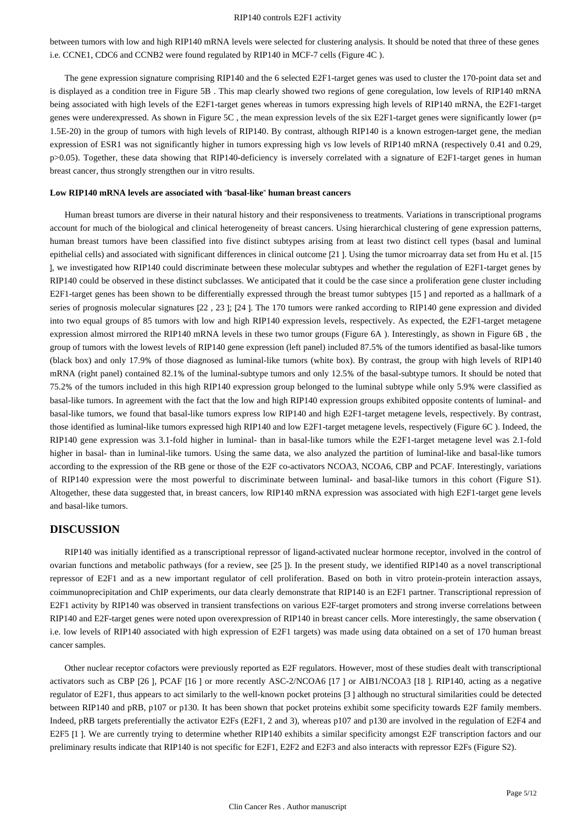between tumors with low and high RIP140 mRNA levels were selected for clustering analysis. It should be noted that three of these genes i.e. CCNE1, CDC6 and CCNB2 were found regulated by RIP140 in MCF-7 cells (Figure 4C ).

The gene expression signature comprising RIP140 and the 6 selected E2F1-target genes was used to cluster the 170-point data set and is displayed as a condition tree in Figure 5B . This map clearly showed two regions of gene coregulation, low levels of RIP140 mRNA being associated with high levels of the E2F1-target genes whereas in tumors expressing high levels of RIP140 mRNA, the E2F1-target genes were underexpressed. As shown in Figure 5C , the mean expression levels of the six E2F1-target genes were significantly lower (p= 1.5E-20) in the group of tumors with high levels of RIP140. By contrast, although RIP140 is a known estrogen-target gene, the median expression of ESR1 was not significantly higher in tumors expressing high vs low levels of RIP140 mRNA (respectively 0.41 and 0.29, p>0.05). Together, these data showing that RIP140-deficiency is inversely correlated with a signature of E2F1-target genes in human breast cancer, thus strongly strengthen our in vitro results.

## **Low RIP140 mRNA levels are associated with** "**basal-like**" **human breast cancers**

Human breast tumors are diverse in their natural history and their responsiveness to treatments. Variations in transcriptional programs account for much of the biological and clinical heterogeneity of breast cancers. Using hierarchical clustering of gene expression patterns, human breast tumors have been classified into five distinct subtypes arising from at least two distinct cell types (basal and luminal epithelial cells) and associated with significant differences in clinical outcome [21 ]. Using the tumor microarray data set from Hu et al. [15 ], we investigated how RIP140 could discriminate between these molecular subtypes and whether the regulation of E2F1-target genes by RIP140 could be observed in these distinct subclasses. We anticipated that it could be the case since a proliferation gene cluster including E2F1-target genes has been shown to be differentially expressed through the breast tumor subtypes [15 ] and reported as a hallmark of a series of prognosis molecular signatures [22 , 23 ]; [24 ]. The 170 tumors were ranked according to RIP140 gene expression and divided into two equal groups of 85 tumors with low and high RIP140 expression levels, respectively. As expected, the E2F1-target metagene expression almost mirrored the RIP140 mRNA levels in these two tumor groups (Figure 6A ). Interestingly, as shown in Figure 6B , the group of tumors with the lowest levels of RIP140 gene expression (left panel) included 87.5% of the tumors identified as basal-like tumors (black box) and only 17.9% of those diagnosed as luminal-like tumors (white box). By contrast, the group with high levels of RIP140 mRNA (right panel) contained 82.1% of the luminal-subtype tumors and only 12.5% of the basal-subtype tumors. It should be noted that 75.2% of the tumors included in this high RIP140 expression group belonged to the luminal subtype while only 5.9% were classified as basal-like tumors. In agreement with the fact that the low and high RIP140 expression groups exhibited opposite contents of luminal- and basal-like tumors, we found that basal-like tumors express low RIP140 and high E2F1-target metagene levels, respectively. By contrast, those identified as luminal-like tumors expressed high RIP140 and low E2F1-target metagene levels, respectively (Figure 6C ). Indeed, the RIP140 gene expression was 3.1-fold higher in luminal- than in basal-like tumors while the E2F1-target metagene level was 2.1-fold higher in basal- than in luminal-like tumors. Using the same data, we also analyzed the partition of luminal-like and basal-like tumors according to the expression of the RB gene or those of the E2F co-activators NCOA3, NCOA6, CBP and PCAF. Interestingly, variations of RIP140 expression were the most powerful to discriminate between luminal- and basal-like tumors in this cohort (Figure S1). Altogether, these data suggested that, in breast cancers, low RIP140 mRNA expression was associated with high E2F1-target gene levels and basal-like tumors.

## **DISCUSSION**

RIP140 was initially identified as a transcriptional repressor of ligand-activated nuclear hormone receptor, involved in the control of ovarian functions and metabolic pathways (for a review, see [25 ]). In the present study, we identified RIP140 as a novel transcriptional repressor of E2F1 and as a new important regulator of cell proliferation. Based on both in vitro protein-protein interaction assays, coimmunoprecipitation and ChIP experiments, our data clearly demonstrate that RIP140 is an E2F1 partner. Transcriptional repression of E2F1 activity by RIP140 was observed in transient transfections on various E2F-target promoters and strong inverse correlations between RIP140 and E2F-target genes were noted upon overexpression of RIP140 in breast cancer cells. More interestingly, the same observation ( i.e. low levels of RIP140 associated with high expression of E2F1 targets) was made using data obtained on a set of 170 human breast cancer samples.

Other nuclear receptor cofactors were previously reported as E2F regulators. However, most of these studies dealt with transcriptional activators such as CBP [26 ], PCAF [16 ] or more recently ASC-2/NCOA6 [17 ] or AIB1/NCOA3 [18 ]. RIP140, acting as a negative regulator of E2F1, thus appears to act similarly to the well-known pocket proteins [3 ] although no structural similarities could be detected between RIP140 and pRB, p107 or p130. It has been shown that pocket proteins exhibit some specificity towards E2F family members. Indeed, pRB targets preferentially the activator E2Fs (E2F1, 2 and 3), whereas p107 and p130 are involved in the regulation of E2F4 and E2F5 [1 ]. We are currently trying to determine whether RIP140 exhibits a similar specificity amongst E2F transcription factors and our preliminary results indicate that RIP140 is not specific for E2F1, E2F2 and E2F3 and also interacts with repressor E2Fs (Figure S2).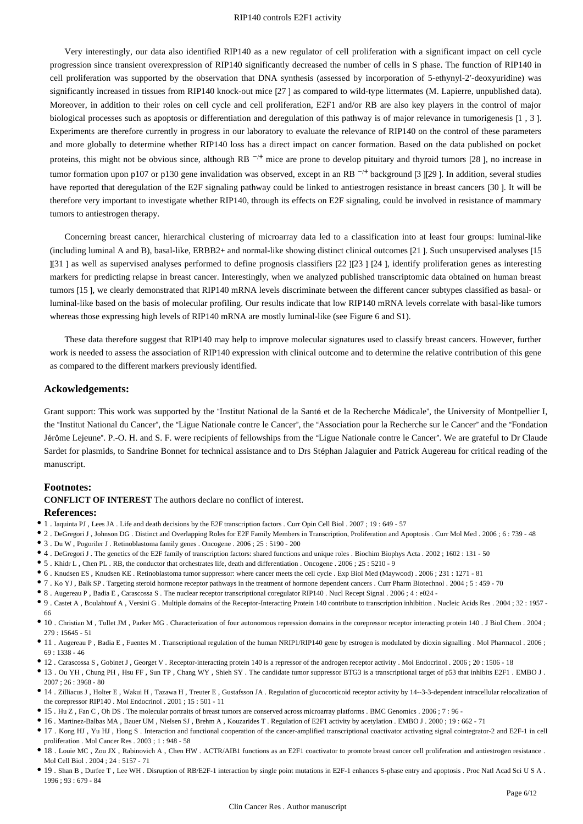Very interestingly, our data also identified RIP140 as a new regulator of cell proliferation with a significant impact on cell cycle progression since transient overexpression of RIP140 significantly decreased the number of cells in S phase. The function of RIP140 in cell proliferation was supported by the observation that DNA synthesis (assessed by incorporation of 5-ethynyl-2′-deoxyuridine) was significantly increased in tissues from RIP140 knock-out mice [27 ] as compared to wild-type littermates (M. Lapierre, unpublished data). Moreover, in addition to their roles on cell cycle and cell proliferation, E2F1 and/or RB are also key players in the control of major biological processes such as apoptosis or differentiation and deregulation of this pathway is of major relevance in tumorigenesis [1 , 3 ]. Experiments are therefore currently in progress in our laboratory to evaluate the relevance of RIP140 on the control of these parameters and more globally to determine whether RIP140 loss has a direct impact on cancer formation. Based on the data published on pocket proteins, this might not be obvious since, although RB  $^{-/+}$  mice are prone to develop pituitary and thyroid tumors [28 ], no increase in tumor formation upon p107 or p130 gene invalidation was observed, except in an RB<sup>-/+</sup> background [3 ][29 ]. In addition, several studies have reported that deregulation of the E2F signaling pathway could be linked to antiestrogen resistance in breast cancers [30 ]. It will be therefore very important to investigate whether RIP140, through its effects on E2F signaling, could be involved in resistance of mammary tumors to antiestrogen therapy.

Concerning breast cancer, hierarchical clustering of microarray data led to a classification into at least four groups: luminal-like (including luminal A and B), basal-like, ERBB2+ and normal-like showing distinct clinical outcomes [21 ]. Such unsupervised analyses [15 ][31 ] as well as supervised analyses performed to define prognosis classifiers [22 ][23 ] [24 ], identify proliferation genes as interesting markers for predicting relapse in breast cancer. Interestingly, when we analyzed published transcriptomic data obtained on human breast tumors [15 ], we clearly demonstrated that RIP140 mRNA levels discriminate between the different cancer subtypes classified as basal- or luminal-like based on the basis of molecular profiling. Our results indicate that low RIP140 mRNA levels correlate with basal-like tumors whereas those expressing high levels of RIP140 mRNA are mostly luminal-like (see Figure 6 and S1).

These data therefore suggest that RIP140 may help to improve molecular signatures used to classify breast cancers. However, further work is needed to assess the association of RIP140 expression with clinical outcome and to determine the relative contribution of this gene as compared to the different markers previously identified.

## **Ackowledgements:**

Grant support: This work was supported by the "Institut National de la Santé et de la Recherche Médicale", the University of Montpellier I, the "Institut National du Cancer", the "Ligue Nationale contre le Cancer", the "Association pour la Recherche sur le Cancer" and the "Fondation Jérôme Lejeune". P.-O. H. and S. F. were recipients of fellowships from the "Ligue Nationale contre le Cancer". We are grateful to Dr Claude Sardet for plasmids, to Sandrine Bonnet for technical assistance and to Drs Stéphan Jalaguier and Patrick Augereau for critical reading of the manuscript.

## **Footnotes:**

**CONFLICT OF INTEREST** The authors declare no conflict of interest.

### **References:**

- 1 . Iaquinta PJ , Lees JA . Life and death decisions by the E2F transcription factors . Curr Opin Cell Biol . 2007 ; 19 : 649 57
- 2 . DeGregori J , Johnson DG . Distinct and Overlapping Roles for E2F Family Members in Transcription, Proliferation and Apoptosis . Curr Mol Med . 2006 ; 6 : 739 48
- 3 . Du W , Pogoriler J . Retinoblastoma family genes . Oncogene . 2006 ; 25 : 5190 200
- 4 . DeGregori J . The genetics of the E2F family of transcription factors: shared functions and unique roles . Biochim Biophys Acta . 2002 ; 1602 : 131 50
- 5 . Khidr L , Chen PL . RB, the conductor that orchestrates life, death and differentiation . Oncogene . 2006 ; 25 : 5210 9
- 6 . Knudsen ES , Knudsen KE . Retinoblastoma tumor suppressor: where cancer meets the cell cycle . Exp Biol Med (Maywood) . 2006 ; 231 : 1271 81
- 7 . Ko YJ , Balk SP . Targeting steroid hormone receptor pathways in the treatment of hormone dependent cancers . Curr Pharm Biotechnol . 2004 ; 5 : 459 70
- 8 . Augereau P , Badia E , Carascossa S . The nuclear receptor transcriptional coregulator RIP140 . Nucl Recept Signal . 2006 ; 4 : e024 -
- 9 . Castet A , Boulahtouf A , Versini G . Multiple domains of the Receptor-Interacting Protein 140 contribute to transcription inhibition . Nucleic Acids Res . 2004 ; 32 : 1957 66
- 10 . Christian M , Tullet JM , Parker MG . Characterization of four autonomous repression domains in the corepressor receptor interacting protein 140 . J Biol Chem . 2004 ; 279 : 15645 - 51
- 11 . Augereau P , Badia E , Fuentes M . Transcriptional regulation of the human NRIP1/RIP140 gene by estrogen is modulated by dioxin signalling . Mol Pharmacol . 2006 ;  $69 \cdot 1338 - 46$
- 12 . Carascossa S , Gobinet J , Georget V . Receptor-interacting protein 140 is a repressor of the androgen receptor activity . Mol Endocrinol . 2006 ; 20 : 1506 18
- 13 . Ou YH , Chung PH , Hsu FF , Sun TP , Chang WY , Shieh SY . The candidate tumor suppressor BTG3 is a transcriptional target of p53 that inhibits E2F1 . EMBO J . 2007 ; 26 : 3968 - 80
- 14 . Zilliacus J , Holter E , Wakui H , Tazawa H , Treuter E , Gustafsson JA . Regulation of glucocorticoid receptor activity by 14--3-3-dependent intracellular relocalization of the corepressor RIP140 . Mol Endocrinol . 2001 ; 15 : 501 - 11
- 15 . Hu Z , Fan C , Oh DS . The molecular portraits of breast tumors are conserved across microarray platforms . BMC Genomics . 2006 ; 7 : 96 -
- 16 . Martinez-Balbas MA , Bauer UM , Nielsen SJ , Brehm A , Kouzarides T . Regulation of E2F1 activity by acetylation . EMBO J . 2000 ; 19 : 662 71
- 17 . Kong HJ , Yu HJ , Hong S . Interaction and functional cooperation of the cancer-amplified transcriptional coactivator activating signal cointegrator-2 and E2F-1 in cell proliferation . Mol Cancer Res . 2003 ; 1 : 948 - 58
- 18 . Louie MC , Zou JX , Rabinovich A , Chen HW . ACTR/AIB1 functions as an E2F1 coactivator to promote breast cancer cell proliferation and antiestrogen resistance . Mol Cell Biol . 2004 ; 24 : 5157 - 71
- 19 . Shan B , Durfee T , Lee WH . Disruption of RB/E2F-1 interaction by single point mutations in E2F-1 enhances S-phase entry and apoptosis . Proc Natl Acad Sci U S A . 1996 ; 93 : 679 - 84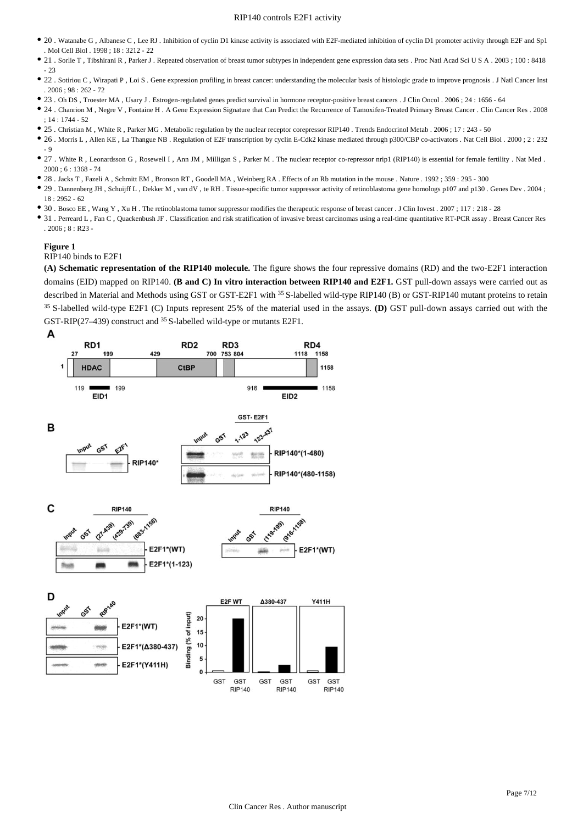- 20 . Watanabe G , Albanese C , Lee RJ . Inhibition of cyclin D1 kinase activity is associated with E2F-mediated inhibition of cyclin D1 promoter activity through E2F and Sp1 . Mol Cell Biol . 1998 ; 18 : 3212 - 22
- 21 . Sorlie T , Tibshirani R , Parker J . Repeated observation of breast tumor subtypes in independent gene expression data sets . Proc Natl Acad Sci U S A . 2003 ; 100 : 8418  $- 23$
- 22 . Sotiriou C , Wirapati P , Loi S . Gene expression profiling in breast cancer: understanding the molecular basis of histologic grade to improve prognosis . J Natl Cancer Inst . 2006 ; 98 : 262 - 72
- 23 . Oh DS , Troester MA , Usary J . Estrogen-regulated genes predict survival in hormone receptor-positive breast cancers . J Clin Oncol . 2006 ; 24 : 1656 64
- 24 . Chanrion M , Negre V , Fontaine H . A Gene Expression Signature that Can Predict the Recurrence of Tamoxifen-Treated Primary Breast Cancer . Clin Cancer Res . 2008 ; 14 : 1744 - 52
- 25 . Christian M , White R , Parker MG . Metabolic regulation by the nuclear receptor corepressor RIP140 . Trends Endocrinol Metab . 2006 ; 17 : 243 50
- 26 . Morris L , Allen KE , La Thangue NB . Regulation of E2F transcription by cyclin E-Cdk2 kinase mediated through p300/CBP co-activators . Nat Cell Biol . 2000 ; 2 : 232  $-9$
- 27 . White R , Leonardsson G , Rosewell I , Ann JM , Milligan S , Parker M . The nuclear receptor co-repressor nrip1 (RIP140) is essential for female fertility . Nat Med .  $2000 : 6 : 1368 - 74$
- 28 . Jacks T , Fazeli A , Schmitt EM , Bronson RT , Goodell MA , Weinberg RA . Effects of an Rb mutation in the mouse . Nature . 1992 ; 359 : 295 300
- 29 . Dannenberg JH , Schuijff L , Dekker M , van dV , te RH . Tissue-specific tumor suppressor activity of retinoblastoma gene homologs p107 and p130 . Genes Dev . 2004 ; 18 : 2952 - 62
- 30 . Bosco EE , Wang Y , Xu H . The retinoblastoma tumor suppressor modifies the therapeutic response of breast cancer . J Clin Invest . 2007 ; 117 : 218 28
- 31 . Perreard L , Fan C , Quackenbush JF . Classification and risk stratification of invasive breast carcinomas using a real-time quantitative RT-PCR assay . Breast Cancer Res  $.2006:8:R23-$

#### **Figure 1**

#### RIP140 binds to E2F1

**(A) Schematic representation of the RIP140 molecule.** The figure shows the four repressive domains (RD) and the two-E2F1 interaction domains (EID) mapped on RIP140. **(B and C) In vitro interaction between RIP140 and E2F1.** GST pull-down assays were carried out as described in Material and Methods using GST or GST-E2F1 with <sup>35</sup> S-labelled wild-type RIP140 (B) or GST-RIP140 mutant proteins to retain <sup>35</sup> S-labelled wild-type E2F1 (C) Inputs represent 25% of the material used in the assays. (D) GST pull-down assays carried out with the GST-RIP(27–439) construct and  $35$  S-labelled wild-type or mutants E2F1.

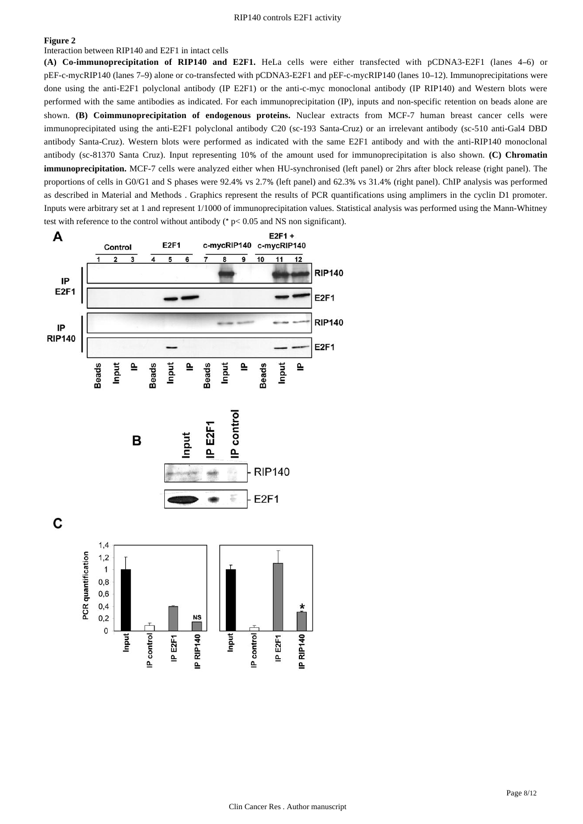### **Figure 2**

## Interaction between RIP140 and E2F1 in intact cells

**(A) Co-immunoprecipitation of RIP140 and E2F1.** HeLa cells were either transfected with pCDNA3-E2F1 (lanes 4–6) or pEF-c-mycRIP140 (lanes 7–9) alone or co-transfected with pCDNA3-E2F1 and pEF-c-mycRIP140 (lanes 10–12). Immunoprecipitations were done using the anti-E2F1 polyclonal antibody (IP E2F1) or the anti-c-myc monoclonal antibody (IP RIP140) and Western blots were performed with the same antibodies as indicated. For each immunoprecipitation (IP), inputs and non-specific retention on beads alone are shown. **(B) Coimmunoprecipitation of endogenous proteins.** Nuclear extracts from MCF-7 human breast cancer cells were immunoprecipitated using the anti-E2F1 polyclonal antibody C20 (sc-193 Santa-Cruz) or an irrelevant antibody (sc-510 anti-Gal4 DBD antibody Santa-Cruz). Western blots were performed as indicated with the same E2F1 antibody and with the anti-RIP140 monoclonal antibody (sc-81370 Santa Cruz). Input representing 10% of the amount used for immunoprecipitation is also shown. **(C) Chromatin immunoprecipitation.** MCF-7 cells were analyzed either when HU-synchronised (left panel) or 2hrs after block release (right panel). The proportions of cells in G0/G1 and S phases were 92.4% vs 2.7% (left panel) and 62.3% vs 31.4% (right panel). ChIP analysis was performed as described in Material and Methods . Graphics represent the results of PCR quantifications using amplimers in the cyclin D1 promoter. Inputs were arbitrary set at 1 and represent 1/1000 of immunoprecipitation values. Statistical analysis was performed using the Mann-Whitney test with reference to the control without antibody (\* p< 0.05 and NS non significant).

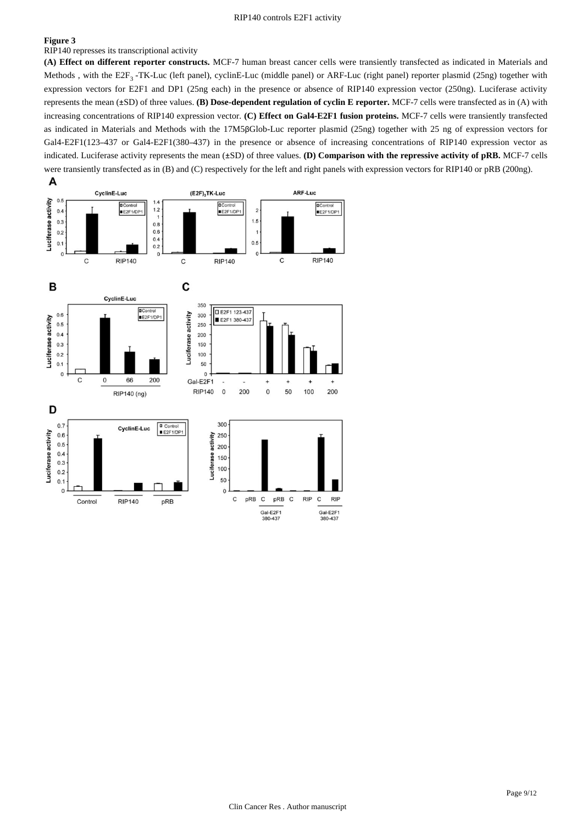## **Figure 3**

### RIP140 represses its transcriptional activity

**(A) Effect on different reporter constructs.** MCF-7 human breast cancer cells were transiently transfected as indicated in Materials and Methods, with the E2F<sub>3</sub> -TK-Luc (left panel), cyclinE-Luc (middle panel) or ARF-Luc (right panel) reporter plasmid (25ng) together with expression vectors for E2F1 and DP1 (25ng each) in the presence or absence of RIP140 expression vector (250ng). Luciferase activity represents the mean (±SD) of three values. **(B) Dose-dependent regulation of cyclin E reporter.** MCF-7 cells were transfected as in (A) with increasing concentrations of RIP140 expression vector. **(C) Effect on Gal4-E2F1 fusion proteins.** MCF-7 cells were transiently transfected as indicated in Materials and Methods with the 17M5βGlob-Luc reporter plasmid (25ng) together with 25 ng of expression vectors for Gal4-E2F1(123–437 or Gal4-E2F1(380–437) in the presence or absence of increasing concentrations of RIP140 expression vector as indicated. Luciferase activity represents the mean (±SD) of three values. **(D) Comparison with the repressive activity of pRB.** MCF-7 cells were transiently transfected as in (B) and (C) respectively for the left and right panels with expression vectors for RIP140 or pRB (200ng).

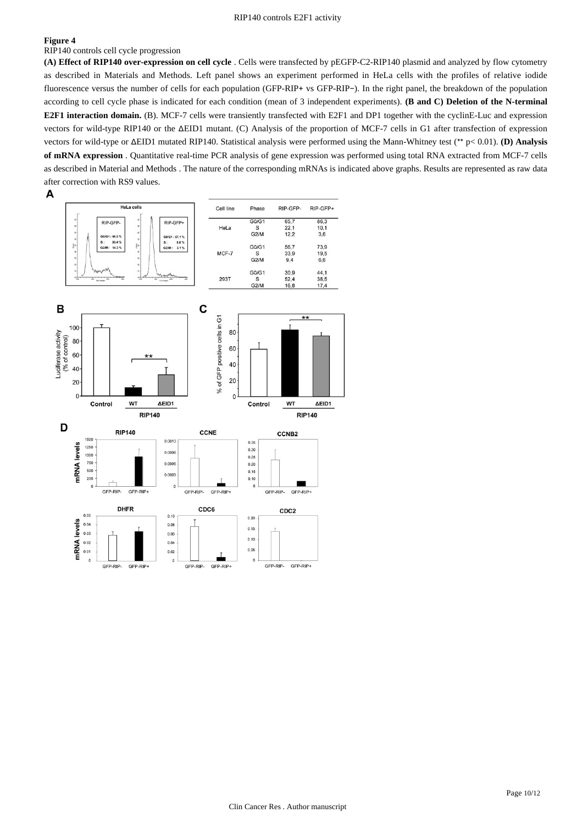## **Figure 4**

RIP140 controls cell cycle progression

**(A) Effect of RIP140 over-expression on cell cycle** . Cells were transfected by pEGFP-C2-RIP140 plasmid and analyzed by flow cytometry as described in Materials and Methods. Left panel shows an experiment performed in HeLa cells with the profiles of relative iodide fluorescence versus the number of cells for each population (GFP-RIP+ vs GFP-RIP−). In the right panel, the breakdown of the population according to cell cycle phase is indicated for each condition (mean of 3 independent experiments). **(B and C) Deletion of the N-terminal E2F1 interaction domain.** (B). MCF-7 cells were transiently transfected with E2F1 and DP1 together with the cyclinE-Luc and expression vectors for wild-type RIP140 or the ΔEID1 mutant. (C) Analysis of the proportion of MCF-7 cells in G1 after transfection of expression vectors for wild-type or ΔEID1 mutated RIP140. Statistical analysis were performed using the Mann-Whitney test (\*\* p< 0.01). **(D) Analysis of mRNA expression** . Quantitative real-time PCR analysis of gene expression was performed using total RNA extracted from MCF-7 cells as described in Material and Methods . The nature of the corresponding mRNAs is indicated above graphs. Results are represented as raw data after correction with RS9 values.



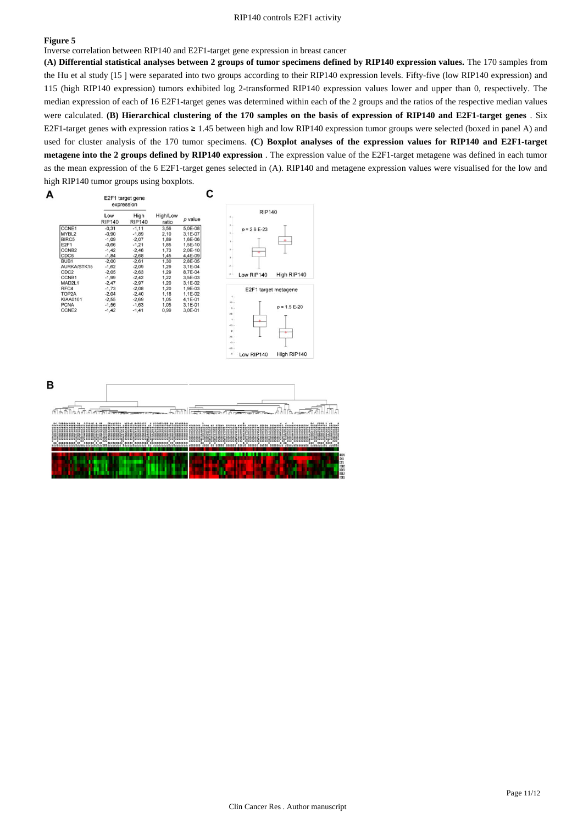## **Figure 5**

Inverse correlation between RIP140 and E2F1-target gene expression in breast cancer

**(A) Differential statistical analyses between 2 groups of tumor specimens defined by RIP140 expression values.** The 170 samples from the Hu et al study [15 ] were separated into two groups according to their RIP140 expression levels. Fifty-five (low RIP140 expression) and 115 (high RIP140 expression) tumors exhibited log 2-transformed RIP140 expression values lower and upper than 0, respectively. The median expression of each of 16 E2F1-target genes was determined within each of the 2 groups and the ratios of the respective median values were calculated. **(B) Hierarchical clustering of the 170 samples on the basis of expression of RIP140 and E2F1-target genes** . Six E2F1-target genes with expression ratios  $\geq 1.45$  between high and low RIP140 expression tumor groups were selected (boxed in panel A) and used for cluster analysis of the 170 tumor specimens. **(C) Boxplot analyses of the expression values for RIP140 and E2F1-target metagene into the 2 groups defined by RIP140 expression** . The expression value of the E2F1-target metagene was defined in each tumor as the mean expression of the 6 E2F1-target genes selected in (A). RIP140 and metagene expression values were visualised for the low and high RIP140 tumor groups using boxplots.

111111111111111